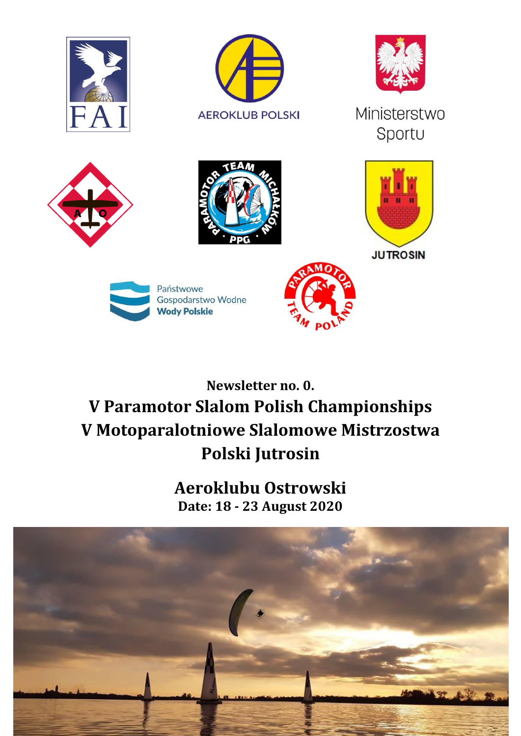

# **Newsletter no. 0. V Paramotor Slalom Polish Championships V Motoparalotniowe Slalomowe Mistrzostwa Polski Jutrosin**

**Aeroklubu Ostrowski Date: 18 - 23 August 2020**

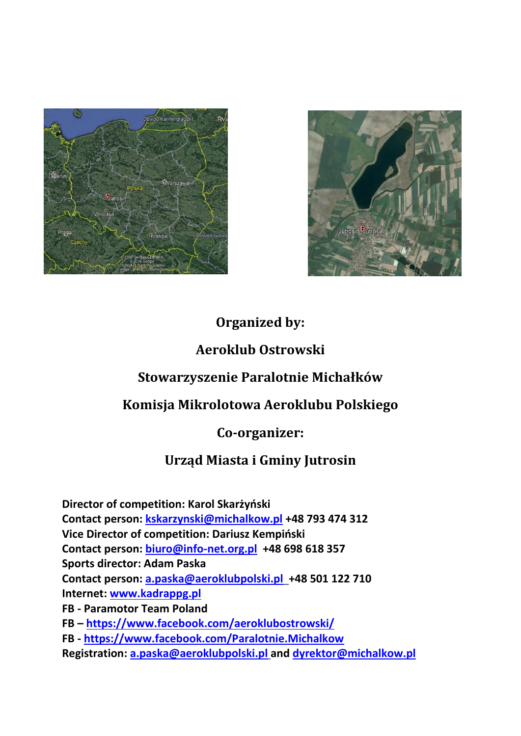



## **Organized by:**

#### **Aeroklub Ostrowski**

## **Stowarzyszenie Paralotnie Michałków**

## **Komisja Mikrolotowa Aeroklubu Polskiego**

#### **Co-organizer:**

## **Urząd Miasta i Gminy Jutrosin**

**Director of competition: Karol Skarżyński Contact person: [kskarzynski@michalkow.pl](mailto:kskarzynski@michalkow.pl) +48 793 474 312 Vice Director of competition: Dariusz Kempiński Contact person: [biuro@info-net.org.pl](mailto:biuro@info-net.org.pl) +48 698 618 357 Sports director: Adam Paska Contact person: [a.paska@aeroklubpolski.pl](mailto:a.paska@aeroklubpolski.pl) +48 501 122 710 Internet: [www.kadrappg.pl](http://www.kadrappg.pl/) FB - Paramotor Team Poland FB – <https://www.facebook.com/aeroklubostrowski/> FB - <https://www.facebook.com/Paralotnie.Michalkow> Registration: [a.paska@aeroklubpolski.pl](mailto:a.paska@aeroklubpolski.pl) and [dyrektor@michalkow.pl](mailto:dyrektor@michalkow.pl)**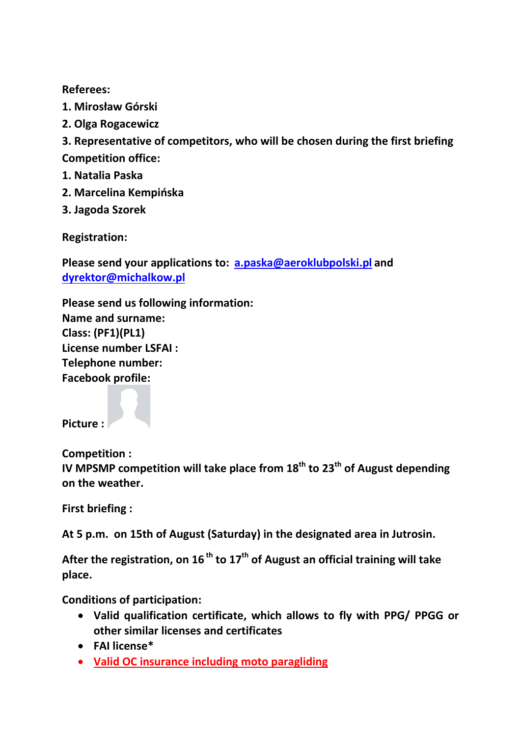#### **Referees:**

- **1. Mirosław Górski**
- **2. Olga Rogacewicz**

**3. Representative of competitors, who will be chosen during the first briefing Competition office:**

- **1. Natalia Paska**
- **2. Marcelina Kempińska**
- **3. Jagoda Szorek**

**Registration:** 

**Please send your applications to: [a.paska@aeroklubpolski.pl](mailto:a.paska@aeroklubpolski.pl) and [dyrektor@michalkow.pl](mailto:dyrektor@michalkow.pl)**

**Please send us following information: Name and surname: Class: (PF1)(PL1) License number LSFAI : Telephone number: Facebook profile:**

**Picture :**

**Competition :**

**IV MPSMP competition will take place from 18th to 23th of August depending on the weather.**

**First briefing :** 

**At 5 p.m. on 15th of August (Saturday) in the designated area in Jutrosin.**

**After the registration, on 16 th to 17th of August an official training will take place.**

**Conditions of participation:**

- **Valid qualification certificate, which allows to fly with PPG/ PPGG or other similar licenses and certificates**
- **FAI license\***
- **Valid OC insurance including moto paragliding**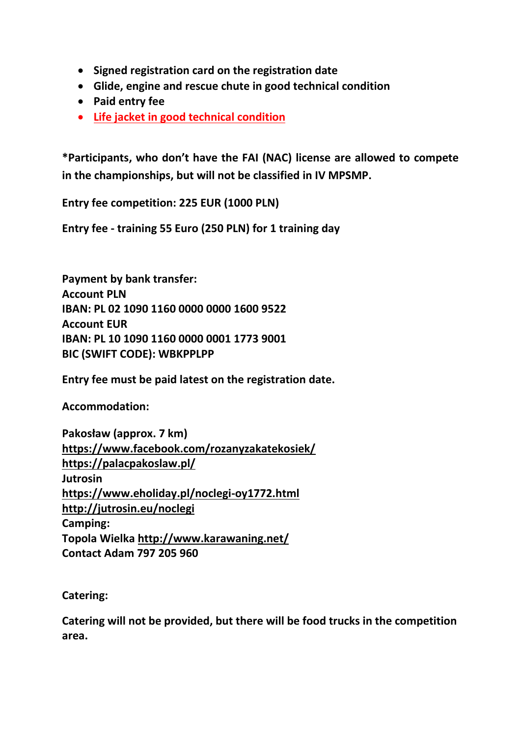- **Signed registration card on the registration date**
- **Glide, engine and rescue chute in good technical condition**
- **Paid entry fee**
- **Life jacket in good technical condition**

**\*Participants, who don't have the FAI (NAC) license are allowed to compete in the championships, but will not be classified in IV MPSMP.** 

**Entry fee competition: 225 EUR (1000 PLN)** 

**Entry fee - training 55 Euro (250 PLN) for 1 training day**

**Payment by bank transfer: Account PLN IBAN: PL 02 1090 1160 0000 0000 1600 9522 Account EUR IBAN: PL 10 1090 1160 0000 0001 1773 9001 BIC (SWIFT CODE): WBKPPLPP**

**Entry fee must be paid latest on the registration date.** 

**Accommodation:**

**Pakosław (approx. 7 km) <https://www.facebook.com/rozanyzakatekosiek/> <https://palacpakoslaw.pl/> Jutrosin <https://www.eholiday.pl/noclegi-oy1772.html> <http://jutrosin.eu/noclegi> Camping: Topola Wielka<http://www.karawaning.net/> Contact Adam 797 205 960**

**Catering:**

**Catering will not be provided, but there will be food trucks in the competition area.**